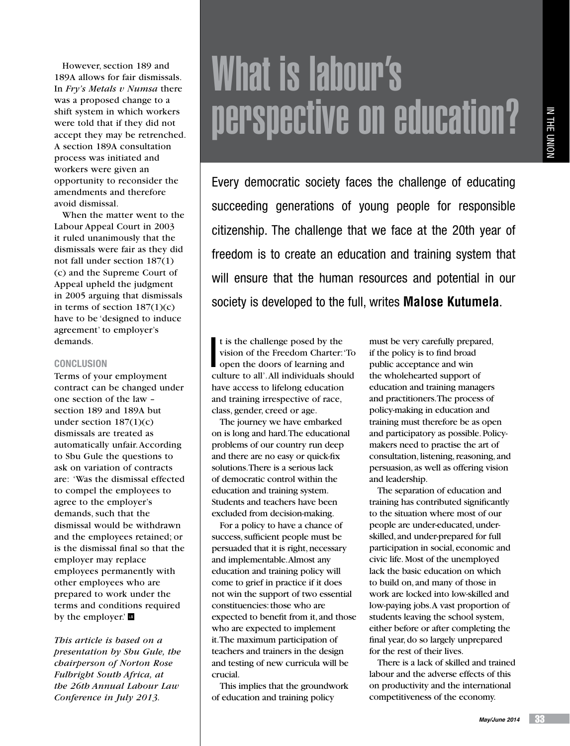However, section 189 and 189A allows for fair dismissals. In *Fry's Metals v Numsa* there was a proposed change to a shift system in which workers were told that if they did not accept they may be retrenched. A section 189A consultation process was initiated and workers were given an opportunity to reconsider the amendments and therefore avoid dismissal.

When the matter went to the Labour Appeal Court in 2003 it ruled unanimously that the dismissals were fair as they did not fall under section 187(1) (c) and the Supreme Court of Appeal upheld the judgment in 2005 arguing that dismissals in terms of section  $187(1)(c)$ have to be 'designed to induce agreement' to employer's demands.

## **Conclusion**

Terms of your employment contract can be changed under one section of the law – section 189 and 189A but under section 187(1)(c) dismissals are treated as automatically unfair. According to Sbu Gule the questions to ask on variation of contracts are: 'Was the dismissal effected to compel the employees to agree to the employer's demands, such that the dismissal would be withdrawn and the employees retained; or is the dismissal final so that the employer may replace employees permanently with other employees who are prepared to work under the terms and conditions required by the employer.'

*This article is based on a presentation by Sbu Gule, the chairperson of Norton Rose Fulbright South Africa, at the 26th Annual Labour Law Conference in July 2013.*

# What is labour's perspective on education?

Every democratic society faces the challenge of educating succeeding generations of young people for responsible citizenship. The challenge that we face at the 20th year of freedom is to create an education and training system that will ensure that the human resources and potential in our society is developed to the full, writes **Malose Kutumela**.

I t is the challenge posed by the vision of the Freedom Charter: 'To open the doors of learning and culture to all'. All individuals should have access to lifelong education and training irrespective of race, class, gender, creed or age.

The journey we have embarked on is long and hard. The educational problems of our country run deep and there are no easy or quick-fix solutions. There is a serious lack of democratic control within the education and training system. Students and teachers have been excluded from decision-making.

For a policy to have a chance of success, sufficient people must be persuaded that it is right, necessary and implementable. Almost any education and training policy will come to grief in practice if it does not win the support of two essential constituencies: those who are expected to benefit from it, and those who are expected to implement it. The maximum participation of teachers and trainers in the design and testing of new curricula will be crucial.

This implies that the groundwork of education and training policy

must be very carefully prepared, if the policy is to find broad public acceptance and win the wholehearted support of education and training managers and practitioners. The process of policy-making in education and training must therefore be as open and participatory as possible. Policymakers need to practise the art of consultation, listening, reasoning, and persuasion, as well as offering vision and leadership.

The separation of education and training has contributed significantly to the situation where most of our people are under-educated, underskilled, and under-prepared for full participation in social, economic and civic life. Most of the unemployed lack the basic education on which to build on, and many of those in work are locked into low-skilled and low-paying jobs. A vast proportion of students leaving the school system, either before or after completing the final year, do so largely unprepared for the rest of their lives.

There is a lack of skilled and trained labour and the adverse effects of this on productivity and the international competitiveness of the economy.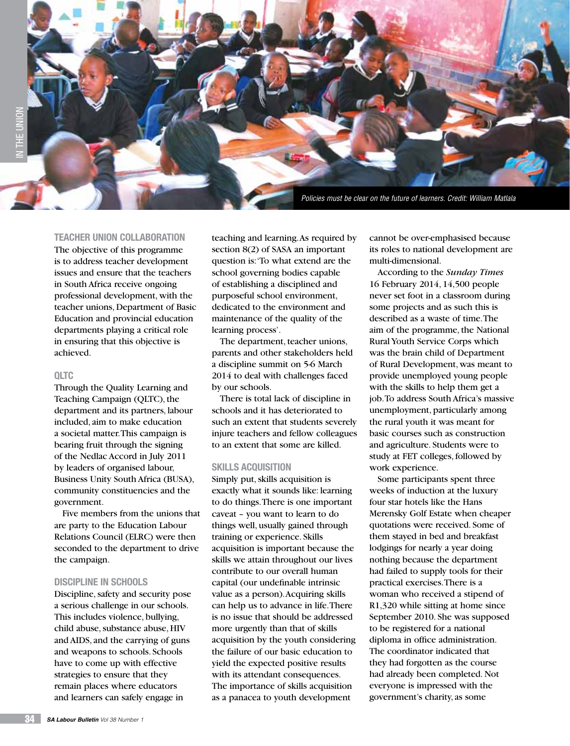

# **Teacher union collaboration**

The objective of this programme is to address teacher development issues and ensure that the teachers in South Africa receive ongoing professional development, with the teacher unions, Department of Basic Education and provincial education departments playing a critical role in ensuring that this objective is achieved.

### **QLTC**

Through the Quality Learning and Teaching Campaign (QLTC), the department and its partners, labour included, aim to make education a societal matter. This campaign is bearing fruit through the signing of the Nedlac Accord in July 2011 by leaders of organised labour, Business Unity South Africa (BUSA), community constituencies and the government.

Five members from the unions that are party to the Education Labour Relations Council (ELRC) were then seconded to the department to drive the campaign.

### **Discipline in schools**

Discipline, safety and security pose a serious challenge in our schools. This includes violence, bullying, child abuse, substance abuse, HIV and AIDS, and the carrying of guns and weapons to schools. Schools have to come up with effective strategies to ensure that they remain places where educators and learners can safely engage in

teaching and learning. As required by section 8(2) of SASA an important question is: 'To what extend are the school governing bodies capable of establishing a disciplined and purposeful school environment, dedicated to the environment and maintenance of the quality of the learning process'.

The department, teacher unions, parents and other stakeholders held a discipline summit on 5-6 March 2014 to deal with challenges faced by our schools.

There is total lack of discipline in schools and it has deteriorated to such an extent that students severely injure teachers and fellow colleagues to an extent that some are killed.

### **Skills acquisition**

Simply put, skills acquisition is exactly what it sounds like: learning to do things. There is one important caveat – you want to learn to do things well, usually gained through training or experience. Skills acquisition is important because the skills we attain throughout our lives contribute to our overall human capital (our undefinable intrinsic value as a person). Acquiring skills can help us to advance in life. There is no issue that should be addressed more urgently than that of skills acquisition by the youth considering the failure of our basic education to yield the expected positive results with its attendant consequences. The importance of skills acquisition as a panacea to youth development

cannot be over-emphasised because its roles to national development are multi-dimensional.

According to the *Sunday Times* 16 February 2014, 14,500 people never set foot in a classroom during some projects and as such this is described as a waste of time. The aim of the programme, the National Rural Youth Service Corps which was the brain child of Department of Rural Development, was meant to provide unemployed young people with the skills to help them get a job. To address South Africa's massive unemployment, particularly among the rural youth it was meant for basic courses such as construction and agriculture. Students were to study at FET colleges, followed by work experience.

Some participants spent three weeks of induction at the luxury four star hotels like the Hans Merensky Golf Estate when cheaper quotations were received. Some of them stayed in bed and breakfast lodgings for nearly a year doing nothing because the department had failed to supply tools for their practical exercises. There is a woman who received a stipend of R1,320 while sitting at home since September 2010. She was supposed to be registered for a national diploma in office administration. The coordinator indicated that they had forgotten as the course had already been completed. Not everyone is impressed with the government's charity, as some